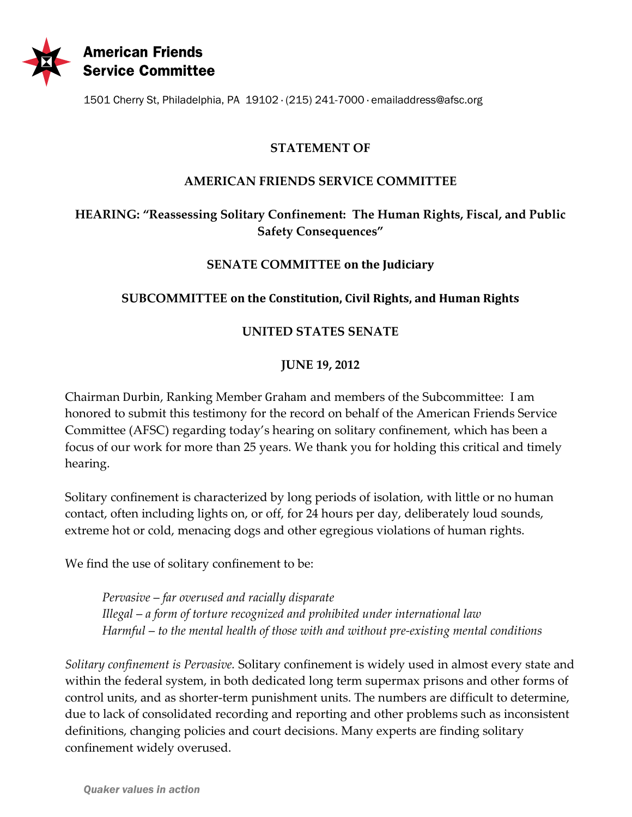

1501 Cherry St, Philadelphia, PA 19102 · (215) 241-7000 · emailaddress@afsc.org

## **STATEMENT OF**

## **AMERICAN FRIENDS SERVICE COMMITTEE**

# **HEARING: "Reassessing Solitary Confinement: The Human Rights, Fiscal, and Public Safety Consequences"**

### **SENATE COMMITTEE on the Judiciary**

### **SUBCOMMITTEE on the Constitution, Civil Rights, and Human Rights**

## **UNITED STATES SENATE**

### **JUNE 19, 2012**

Chairman Durbin, Ranking Member Graham and members of the Subcommittee: I am honored to submit this testimony for the record on behalf of the American Friends Service Committee (AFSC) regarding today's hearing on solitary confinement, which has been a focus of our work for more than 25 years. We thank you for holding this critical and timely hearing.

Solitary confinement is characterized by long periods of isolation, with little or no human contact, often including lights on, or off, for 24 hours per day, deliberately loud sounds, extreme hot or cold, menacing dogs and other egregious violations of human rights.

We find the use of solitary confinement to be:

*Pervasive* – *far overused and racially disparate Illegal* – *a form of torture recognized and prohibited under international law Harmful* – *to the mental health of those with and without pre-existing mental conditions*

*Solitary confinement is Pervasive.* Solitary confinement is widely used in almost every state and within the federal system, in both dedicated long term supermax prisons and other forms of control units, and as shorter-term punishment units. The numbers are difficult to determine, due to lack of consolidated recording and reporting and other problems such as inconsistent definitions, changing policies and court decisions. Many experts are finding solitary confinement widely overused.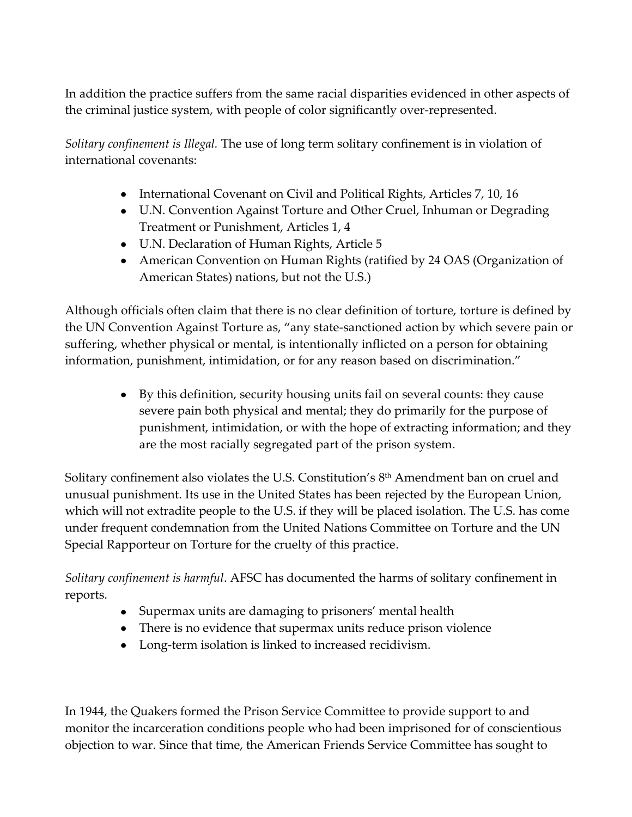In addition the practice suffers from the same racial disparities evidenced in other aspects of the criminal justice system, with people of color significantly over-represented.

*Solitary confinement is Illegal.* The use of long term solitary confinement is in violation of international covenants:

- International Covenant on Civil and Political Rights, Articles 7, 10, 16
- U.N. Convention Against Torture and Other Cruel, Inhuman or Degrading Treatment or Punishment, Articles 1, 4
- U.N. Declaration of Human Rights, Article 5
- American Convention on Human Rights (ratified by 24 OAS (Organization of American States) nations, but not the U.S.)

Although officials often claim that there is no clear definition of torture, torture is defined by the UN Convention Against Torture as, "any state-sanctioned action by which severe pain or suffering, whether physical or mental, is intentionally inflicted on a person for obtaining information, punishment, intimidation, or for any reason based on discrimination."

> By this definition, security housing units fail on several counts: they cause severe pain both physical and mental; they do primarily for the purpose of punishment, intimidation, or with the hope of extracting information; and they are the most racially segregated part of the prison system.

Solitary confinement also violates the U.S. Constitution's 8 th Amendment ban on cruel and unusual punishment. Its use in the United States has been rejected by the European Union, which will not extradite people to the U.S. if they will be placed isolation. The U.S. has come under frequent condemnation from the United Nations Committee on Torture and the UN Special Rapporteur on Torture for the cruelty of this practice.

*Solitary confinement is harmful*. AFSC has documented the harms of solitary confinement in reports.

- Supermax units are damaging to prisoners' mental health
- There is no evidence that supermax units reduce prison violence
- Long-term isolation is linked to increased recidivism.

In 1944, the Quakers formed the Prison Service Committee to provide support to and monitor the incarceration conditions people who had been imprisoned for of conscientious objection to war. Since that time, the American Friends Service Committee has sought to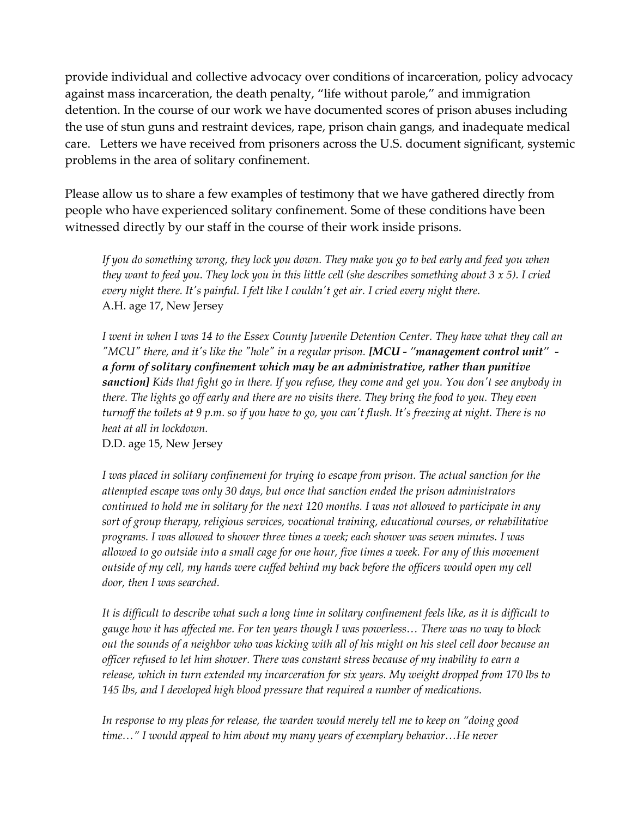provide individual and collective advocacy over conditions of incarceration, policy advocacy against mass incarceration, the death penalty, "life without parole," and immigration detention. In the course of our work we have documented scores of prison abuses including the use of stun guns and restraint devices, rape, prison chain gangs, and inadequate medical care. Letters we have received from prisoners across the U.S. document significant, systemic problems in the area of solitary confinement.

Please allow us to share a few examples of testimony that we have gathered directly from people who have experienced solitary confinement. Some of these conditions have been witnessed directly by our staff in the course of their work inside prisons.

*If you do something wrong, they lock you down. They make you go to bed early and feed you when they want to feed you. They lock you in this little cell (she describes something about 3 x 5). I cried every night there. It's painful. I felt like I couldn't get air. I cried every night there.* A.H. age 17, New Jersey

*I went in when I was 14 to the Essex County Juvenile Detention Center. They have what they call an "MCU" there, and it's like the "hole" in a regular prison. [MCU - "management control unit" a form of solitary confinement which may be an administrative, rather than punitive sanction] Kids that fight go in there. If you refuse, they come and get you. You don't see anybody in there. The lights go off early and there are no visits there. They bring the food to you. They even turnoff the toilets at 9 p.m. so if you have to go, you can't flush. It's freezing at night. There is no heat at all in lockdown.*

D.D. age 15, New Jersey

*I was placed in solitary confinement for trying to escape from prison. The actual sanction for the attempted escape was only 30 days, but once that sanction ended the prison administrators continued to hold me in solitary for the next 120 months. I was not allowed to participate in any sort of group therapy, religious services, vocational training, educational courses, or rehabilitative programs. I was allowed to shower three times a week; each shower was seven minutes. I was allowed to go outside into a small cage for one hour, five times a week. For any of this movement outside of my cell, my hands were cuffed behind my back before the officers would open my cell door, then I was searched.*

*It is difficult to describe what such a long time in solitary confinement feels like, as it is difficult to gauge how it has affected me. For ten years though I was powerless… There was no way to block out the sounds of a neighbor who was kicking with all of his might on his steel cell door because an officer refused to let him shower. There was constant stress because of my inability to earn a release, which in turn extended my incarceration for six years. My weight dropped from 170 lbs to 145 lbs, and I developed high blood pressure that required a number of medications.* 

*In response to my pleas for release, the warden would merely tell me to keep on "doing good time…" I would appeal to him about my many years of exemplary behavior…He never*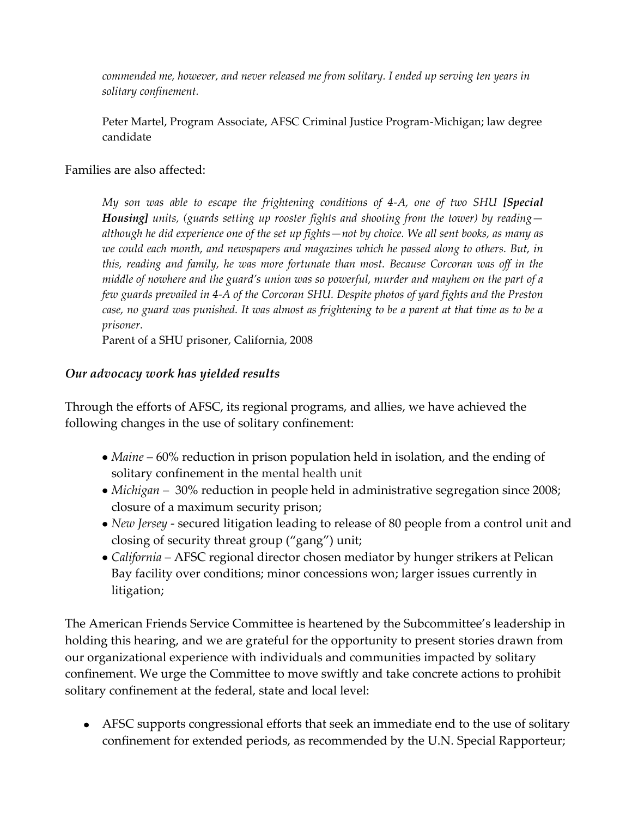*commended me, however, and never released me from solitary. I ended up serving ten years in solitary confinement.* 

Peter Martel, Program Associate, AFSC Criminal Justice Program-Michigan; law degree candidate

Families are also affected:

*My son was able to escape the frightening conditions of 4-A, one of two SHU [Special Housing] units, (guards setting up rooster fights and shooting from the tower) by reading although he did experience one of the set up fights—not by choice. We all sent books, as many as we could each month, and newspapers and magazines which he passed along to others. But, in this, reading and family, he was more fortunate than most. Because Corcoran was off in the middle of nowhere and the guard's union was so powerful, murder and mayhem on the part of a few guards prevailed in 4-A of the Corcoran SHU. Despite photos of yard fights and the Preston case, no guard was punished. It was almost as frightening to be a parent at that time as to be a prisoner.*

Parent of a SHU prisoner, California, 2008

# *Our advocacy work has yielded results*

Through the efforts of AFSC, its regional programs, and allies, we have achieved the following changes in the use of solitary confinement:

- *Maine* 60% reduction in prison population held in isolation, and the ending of solitary confinement in the mental health unit
- *Michigan* 30% reduction in people held in administrative segregation since 2008; closure of a maximum security prison;
- *New Jersey* secured litigation leading to release of 80 people from a control unit and closing of security threat group ("gang") unit;
- *California* AFSC regional director chosen mediator by hunger strikers at Pelican Bay facility over conditions; minor concessions won; larger issues currently in litigation;

The American Friends Service Committee is heartened by the Subcommittee's leadership in holding this hearing, and we are grateful for the opportunity to present stories drawn from our organizational experience with individuals and communities impacted by solitary confinement. We urge the Committee to move swiftly and take concrete actions to prohibit solitary confinement at the federal, state and local level:

AFSC supports congressional efforts that seek an immediate end to the use of solitary confinement for extended periods, as recommended by the U.N. Special Rapporteur;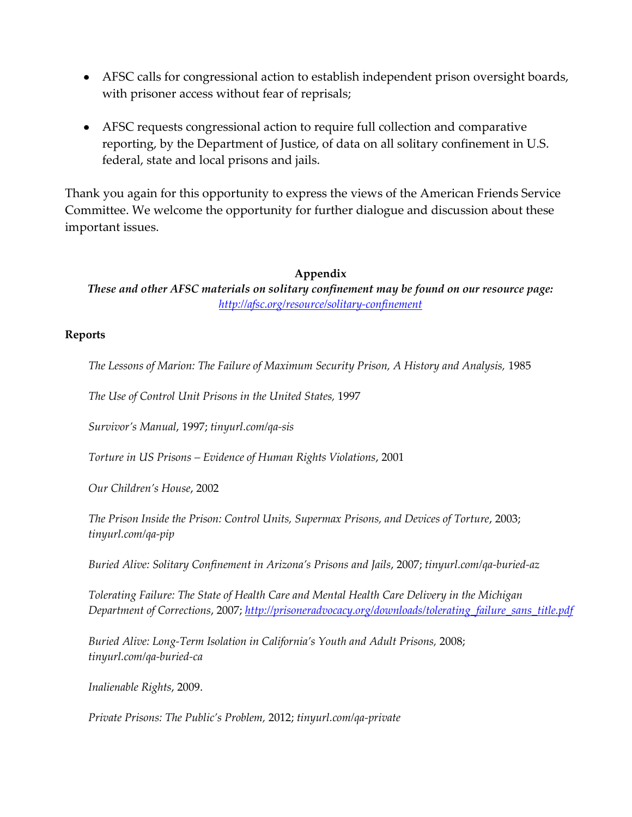- AFSC calls for congressional action to establish independent prison oversight boards, with prisoner access without fear of reprisals;
- AFSC requests congressional action to require full collection and comparative reporting, by the Department of Justice, of data on all solitary confinement in U.S. federal, state and local prisons and jails.

Thank you again for this opportunity to express the views of the American Friends Service Committee. We welcome the opportunity for further dialogue and discussion about these important issues.

### **Appendix**

*These and other AFSC materials on solitary confinement may be found on our resource page: <http://afsc.org/resource/solitary-confinement>*

#### **Reports**

*The Lessons of Marion: The Failure of Maximum Security Prison, A History and Analysis,* 1985

*The Use of Control Unit Prisons in the United States,* 1997

*Survivor's Manual*, 1997; *tinyurl.com/qa-sis*

*Torture in US Prisons – Evidence of Human Rights Violations*, 2001

*Our Children's House*, 2002

*The Prison Inside the Prison: Control Units, Supermax Prisons, and Devices of Torture*, 2003; *tinyurl.com/qa-pip*

*Buried Alive: Solitary Confinement in Arizona's Prisons and Jails*, 2007; *tinyurl.com/qa-buried-az*

*Tolerating Failure: The State of Health Care and Mental Health Care Delivery in the Michigan Department of Corrections*, 2007; *[http://prisoneradvocacy.org/downloads/tolerating\\_failure\\_sans\\_title.pdf](http://prisoneradvocacy.org/downloads/tolerating_failure_sans_title.pdf)*

*Buried Alive: Long-Term Isolation in California's Youth and Adult Prisons,* 2008; *tinyurl.com/qa-buried-ca*

*Inalienable Rights*, 2009.

*Private Prisons: The Public's Problem,* 2012; *tinyurl.com/qa-private*